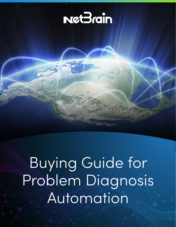

Buying Guide for Problem Diagnosis Automation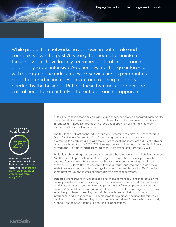While production networks have grown in both scale and complexity over the past 25 years, the means to maintain these networks have largely remained tactical in approach and highly labor-intensive. Additionally, most large enterprises will manage thousands of network service tickets per month to keep their production networks up and running at the level needed by the business. Putting these two facts together, the critical need for an entirely different approach is apparent.



of enterprises will automate more than half of their network activities, an increase from less than 8% of enterprises from early 2022

 $$ 

A little-known fact is that while a huge volume of service tickets is generated each month, there are relatively few types of actual problems. If you take the concept of similar – it introduces an innovative approach that you could apply to solving many network problems of the same kind at scale.

And this fact is not lost on the industry analysts. According to Gartner's recent, "Market Guide for Network Automation Tools," they recognize the critical importance of addressing this problem along with the current tactical and inefficient nature of Network Operations by stating, "By 2025, 25% of enterprises will automate more than half of their network activities, an increase from less than 8% of enterprises from early 2022."

Scalable problem diagnosis automation remains the largest unsolved IT challenge today. And the tactical approach to NetOps is not just a philosophical issue, it prevents the business from growing. Truly supporting the business means changing this all-toocommon brute-force NetOps paradigm to take a results-oriented and scalable view. While there are many tools that manage individual devices, those still suffer from the same bottoms-up and inefficient approach we have seen for years.

Instead, current buyers should be looking for management solutions that focus on the delivery of network results. By taking a tops-down view of the network, you can verify conditions, diagnosis abnormalities and proactively enforce the production services it delivers. An intent-based management solution can exploit the management of many individual problems by treating them similarly with proper abstraction, network intelligence, and a means to re-use subject matter expertise. A solution like this would provide a concise understanding of how the network delivers 'intents' which are closely aligned with the needs of the business and its applications.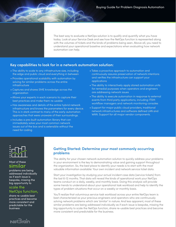The best way to evaluate a NetOps solution is to qualify and quantify what you have today. Look at your Service Desk and see how the NetOps function is represented along with the volumes of tickets and the kinds of problems being seen. Above all, you need to understand your operational baseline and expectations when evaluating how network automation can help.

## **Key capabilities to look for in a network automation solution:**

- The ability to scale to any infrastructure size, including the edge and public cloud and everything in between
- Provides operational scalability with automation by solving for similar problems across the entire infrastructure
- Captures and shares SME knowledge across the organization
- Allows your experts in each scenario to capture their best practices and make them re-usable
- Has awareness and details of the entire hybrid network infrastructure and knows the parameters for every device. This is in stark contrast to many of the early automation approaches that were unaware of their surroundings.
- Includes a pre-built automation library that can immediately solve your most common network issues out of the box and is extensible without the need for coding
- Takes a proactive approach to automation and continuously assures preservation of network intentions and verifies the infrastructure can support your applications
- The ability to interactively apply stored automation units for remedial purposes when operators and engineers are addressing network issues
- The ability to execute automation in response to external events from third party applications, including ITSM workflow managers and network monitoring consoles
- Support for major public cloud providers, traditional network infrastructures and software defined LAN and WAN. Support for all major vendor components.



### Most of these similar

problems are being addressed individually as if each issue is bespoke, missing the big opportunity to

#### scale the NetOps function,

share re-usable best practices and become more consistent and predictable for the business

# Net3<sub>rdin</sub>

## **Getting Started: Determine your most commonly occurring problems**

The ability for your chosen network automation solution to quickly address your problems in your environment is the key to demonstrating value and gaining support throughout the organization. So, the best place to identify your needs is to start with the most valuable information available: Your own incident and network service ticket data.

Start your investigation by studying your actual incident case data (service tickets) from the last 6-12 months. That data will reveal the kinds of operational work your NetOps teams conduct on a daily, weekly, and monthly basis. Doing this analysis will provide some trends to understand about your operational task workload and help to identify the types of problem situations that occur on a weekly or monthly basis.

You'll realize that voluminous service task workload across your entire NetOps team is best characterized as your precious engineers and operators who are continuously solving network problems which are 'similar' in nature. And less apparent, most of these similar problems are being addressed individually as if each issue is bespoke, missing the big opportunity to scale the NetOps function, share re-usable best practices and become more consistent and predictable for the business.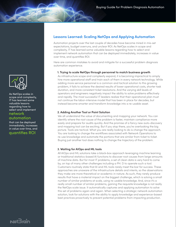

As NetOps scales in scope and complexity, IT has learned some valuable lessons regarding how to select and implement

#### network automation

that can be deployed immediately, increases in value over time, and quantifies ROI

## **Lessons Learned: Scaling NetOps and Applying Automation**

Automation projects over the last couple of decades have become mired in mis-set expectations, budget overruns, and unclear ROI. As NetOps scales in scope and complexity, IT has learned some valuable lessons regarding how to select and implement network automation that can be deployed immediately, increases in value over time, and quantifies ROI.

Here are common mistakes to avoid and mitigate for a successful problem diagnosis automation experience.

#### **1. Trying to scale NetOps through personnel to match business growth**

As infrastructure scope and complexity expand, it is becoming impractical to simply hire more operational staff and train each of them in every network technology. While adding more service personnel is a common and tactical solution to this growing problem, it fails to achieve the desired results of lower operational costs, shorter task duration, and more consistent ticket resolutions. And the varying skill levels of operators and engineers negatively impact the ability to solve problems effectively and rapidly. The most successful IT leaders realize that their operational plan must not continue the labor-intensive model that has been in place for decades, but instead become smarter and transform knowledge into a re-usable asset.

#### **2. Adding Another Tool or Point Solution**

We all understand the value of documenting and mapping your network. You can identify where the root cause of the problem is faster, maintain compliance more easily and prepare for audits quickly. And the promise of a fancy new auto-discovery and mapping tool can be exciting. But if you stop there, you're overlooking the big picture. Tools are tactical. What you are really looking to do is change the approach. You are looking to change the workflows associated with Network Operations to re-use knowledge and automate the portions that are similar from ticket to ticket. Buying just another tool does nothing to change the trajectory of the problem.

#### **3. Waiting for AIOps and ML tools**

All AIOps and ML solutions take a black-box approach leveraging machine learning or traditional statistics-based AI functions to discover root causes from large amounts of machine data. But for most IT problems, a set of clean data is very hard to come by, on top of many other challenges including a PH. D to operate such a tool. Customers routinely state that AI and ML tools rarely meet the bar for success. These approaches are unaware of the infrastructure details and intents, so the observations they make are more theoretical or academic in nature. As such, they rarely produce results that have a material impact on the biggest challenge, which is solving a small number of similar problems at scale, using re-usable knowledge. And, since it's a really small number of similar problems, gaining the requisite knowledge is not really the NetOps scale issue. It automatically captures and applying automation to solve this set of problems again and again. When selecting a strategic network automation solution, look for solutions with the ability to apply knowledge and experience-based best practices proactively to prevent potential problems from impacting production.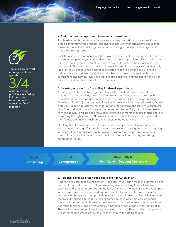

The average network management team spends

3/4

of its time fixing problems, according to Enterprise Management Associates (EMA) research

#### **4. Taking a reactive approach to network operations**

Troubleshooting is the singular focus of most enterprise network managers today, and it is a fundamental problem. The average network management team spends three-quarters of its time fixing problems, according to Enterprise Management Associates (EMA) research.

Look for a solution that focuses on top-down, results-oriented management. This type of solution empowers you to spend less time on reactive problem solving and instead focus on making the infrastructure more robust, defendable, and reducing service outage risk. The best results-oriented Network Automation solutions will continuously look for the existence of the normal or expected "good" operating conditions (as defined by your business apps). A solution like this understands the intents of each component and how business applications are designed, and the characteristics of the network services each application requires.

#### **5. Focusing only on Day 0 and Day 1 network operations**

According to Enterprise Management Associates, most enterprises focus their automation efforts on Day 0 and Day 1 network operations, such as zero-touch provisioning and change and configuration management. However, addressing Day-0 and Day-1 is just a tiny part of the total operational lifecycle. Addressing Day-0 and Day-1 alone neglects the much larger and longer-term opportunity to automate Day 2 network operations in a defendable fashion. Remember, the solutions needed to manage Day-2 will be used thousands of times per month in a larger organization, so making the right choice of Network Automation that addresses this Day-2 part of the lifecycle will have a much greater impact on the bottom line.

Omitting the Day-2 requirement from your selection process will perpetuate the long-standing struggle for scalable network operations, leaving engineers struggling with operational inefficiency, each having to craft a random portfolio of generic tools, a lack of reliable network documentation, and a litany of on-going design compliance issues.

**Day 0 Day 1 Day 2 - Day n Provisioning Configuration Configuration** Optimizing – Ongoing Operations

#### **6. Personal libraries of generic scripts are not Automation**

According to Enterprise Management Associates, many early types of automation are created from the bottom up, with network engineers teaching themselves new scripting and coding languages and building themselves folders of single-use scripts, which may or may never be used again. These folders of scripts may amount to hundreds or thousands of scripts without any structure for re-use. So, while it may be theoretically possible to capture their expertise in these very rigid one-off scripts, there is also no system to leverage these efforts to be applicable to similar problems, nor make their knowledge accessible by a broader group of users with varying skills. The result is the same problem being addressed by two different network engineers will be handled independently, and inconsistently, with varying results.

 $N$ *at* $\overline{\mathcal{C}}$ *rain*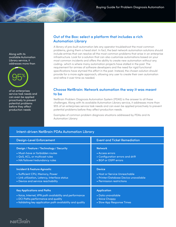Along with its available Automation Library service, it addresses more than



of an enterprises service task needs and can even be applied proactively to prevent potential problems before they affect production needs

### **Out of the Box: select a platform that includes a rich Automation Library**

A library of pre-built automation lets any operator troubleshoot the most common problems, giving them a head start. In fact, the best network automation solutions should include entries that can resolve all the most common problems that arise in an enterprise infrastructure. Look for a solution that can also customize automations based on your most common incidents and offers the ability to create new automation without any coding- which is where many automation projects have stalled in the past. The requirement for armies of software developers and the need for rigid functional specifications have stymied this effort in the past. Instead, the chosen solution should provide for a more agile approach, allowing any user to create their own automation and refine it over time as needed.

## **Choose NetBrain: Network automation the way it was meant to be**

NetBrain Problem Diagnosis Automation System (PDAS) is the answer to all these challenges. Along with its available Automation Library service, it addresses more than 95% of an enterprises service task needs and can even be applied proactively to prevent potential problems before they affect production needs.

Examples of common problem diagnosis situations addressed by PDAs and its Automation Library:

| <b>Intent-driven NetBrain PDAs Automation Library</b>      |                                       |
|------------------------------------------------------------|---------------------------------------|
| <b>Design-Level Enforcement</b>                            | <b>Event and Ticket Remediation</b>   |
| Design / Feature / Technology / Security                   | <b>Network</b>                        |
| • Must-have or forbidden routes                            | • Access errors                       |
| • QoS, ACL, or multicast rules                             | • Configuration errors and drift      |
| • HA/failover/redundancy rules                             | • BGP or OSPF errors                  |
| <b>Incident &amp; Feature Agnostic</b>                     | <b>Device</b>                         |
| • Sufficient CPU, Memory, Power                            | • Host or Service Unreachable         |
| • Link utilization, Latency, Interface status              | • Printer/Database Device unavailable |
| • Device and service reachability                          | • Permission restrictions             |
| <b>Key Applications and Paths</b>                          | <b>Application</b>                    |
| . Voice, Internet, VPN path availability and performance   | • Data unavailable                    |
| • DCI Paths performance and quality                        | • Voice Choppy                        |
| • Validating key application path availability and quality | • Slow App Response Times             |

# Net 3<sub>rdin</sub>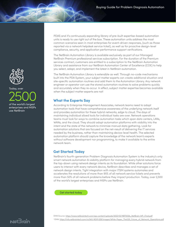PDAS and it's continuously expanding library of pre-built expertise-based automation units is ready to use right out of the box. These automation units address the most common scenarios seen in most enterprises for event-driven responses, (such as those reported via a network helpdesk service ticket), as well as for proactive design-level compliance, security, and application performance support verifications.

The NetBrain Automation Library is available exclusively as part of our Managed NetBrain Premium professional services subscription. For the duration of the Premium services contract, customers are entitled to a subscription to the NetBrain Automation Library and assistance from our NetBrain Automation Center of Excellence (COE) to help you select, adapt, and implement the latest in NetBrain automation.

The NetBrain Automation Library is extensible as well. Through no-code mechanisms built into the PDA System, your subject matter experts can create additional situation and site-specific automation routines and add them to the Automation Library. Any network engineer or operator can use the stored automation routines to solve problems quickly and accurately when they re-occur. In effect, subject matter expertise becomes available when the subject matter experts are not!

## **What the Experts Say**

According to Enterprise Management Associates, network teams need to adopt automation tools that have comprehensive awareness of the underlying network itself and provides automation for these hybrid networks, edge to cloud. The days of maintaining individual siloed tools for individual tasks are over. Network operations teams must look for ways to combine automation tasks which span data centers, LANs, WANs, and the cloud. They should adopt automation platforms with visibility into the intent and the state of the network to minimize manual data gathering. Look for automation solutions that are focused on the net-result of delivering the IT services needed by the business, rather than maintaining device-level health. The selected automation platform should capture the knowledge of the network team's experts without software development nor programming, to make it available to the entire network team.

## **Get Started Today**

NetBrain's fourth-generation Problem Diagnosis Automation System is the industry's only smart network automation & visibility platform for managing every hybrid network from the top-down using network design intents as its foundation. While other solutions force users to interact with every network device, NetBrain describes and manages a set of network design intents. Tight integration with major ITSM systems automates and accelerates the resolutions of more than 95% of all network service tickets and prevents more than 50% of all network problems before they impact production. Today, over 2,500 of the world's largest enterprises and MSPs use NetBrain.

[Get started today](https://www.netbraintech.com/get-started-with-us/)

EMA Source: https://www.netbraintech.com/wp-content/uploads/2022/02/NBT002b\_NetBrain-WP\_Final.pdf

2 EMA: https://info.netbraintech.com/rs/943-NGR-529/images/White-Paper\_The%20\_Future\_of\_Network\_Operations.pdf



# Today, over of the world's largest enterprises and MSPs use NetBrain 2500